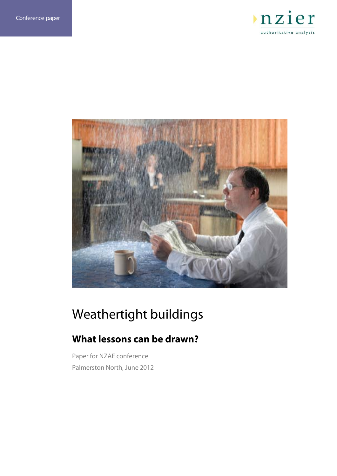



## Weathertight buildings

## **What lessons can be drawn?**

Paper for NZAE conference Palmerston North, June 2012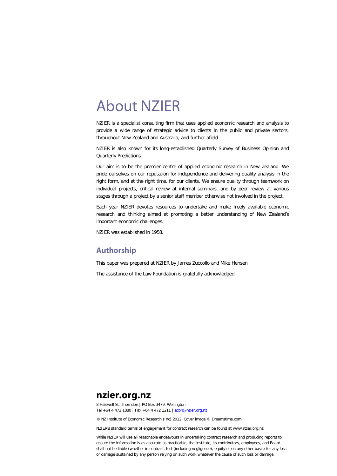## About NZIER

NZIER is a specialist consulting firm that uses applied economic research and analysis to provide a wide range of strategic advice to clients in the public and private sectors, throughout New Zealand and Australia, and further afield.

NZIER is also known for its long-established Quarterly Survey of Business Opinion and Quarterly Predictions.

Our aim is to be the premier centre of applied economic research in New Zealand. We pride ourselves on our reputation for independence and delivering quality analysis in the right form, and at the right time, for our clients. We ensure quality through teamwork on individual projects, critical review at internal seminars, and by peer review at various stages through a project by a senior staff member otherwise not involved in the project.

Each year NZIER devotes resources to undertake and make freely available economic research and thinking aimed at promoting a better understanding of New Zealand's important economic challenges.

NZIER was established in 1958.

### **Authorship**

This paper was prepared at NZIER by James Zuccollo and Mike Hensen

The assistance of the Law Foundation is gratefully acknowledged.

## **nzier.org.nz**

8 Halswell St, Thorndon | PO Box 3479, Wellington Tel +64 4 472 1880 | Fax +64 4 472 1211 [| econ@nzier.org.nz](mailto:econ@nzier.org.nz)

© NZ Institute of Economic Research (Inc) 2012. Cover image © Dreamstime.com

NZIER's standard terms of engagement for contract research can be found at www.nzier.org.nz.

While NZIER will use all reasonable endeavours in undertaking contract research and producing reports to ensure the information is as accurate as practicable, the Institute, its contributors, employees, and Board shall not be liable (whether in contract, tort (including negligence), equity or on any other basis) for any loss or damage sustained by any person relying on such work whatever the cause of such loss or damage.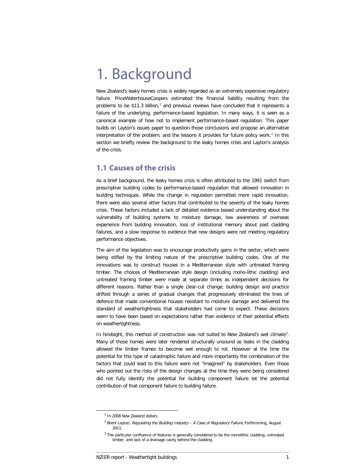## 1. Background

New Zealand's leaky homes crisis is widely regarded as an extremely expensive regulatory failure. PriceWaterhouseCoopers estimated the financial liability resulting from the problems to be  $$11.3$  $$11.3$  $$11.3$  billion,<sup>1</sup> and previous reviews have concluded that it represents a failure of the underlying, performance-based legislation. In many ways, it is seen as a canonical example of how not to implement performance-based regulation. This paper builds on Layton's issues paper to question those conclusions and propose an alternative interpretation of the problem, and the lessons it provides for future policy work.<sup>[2](#page-3-1)</sup> In this section we briefly review the background to the leaky homes crisis and Layton's analysis of the crisis.

## **1.1 Causes of the crisis**

As a brief background, the leaky homes crisis is often attributed to the 1991 switch from prescriptive building codes to performance-based regulation that allowed innovation in building techniques. While the change in regulation permitted more rapid innovation, there were also several other factors that contributed to the severity of the leaky homes crisis. These factors included a lack of detailed evidence based understanding about the vulnerability of building systems to moisture damage, low awareness of overseas experience from building innovation, loss of institutional memory about past cladding failures, and a slow response to evidence that new designs were not meeting regulatory performance objectives.

The aim of the legislation was to encourage productivity gains in the sector, which were being stifled by the limiting nature of the prescriptive building codes. One of the innovations was to construct houses in a Mediterranean style with untreated framing timber. The choices of Mediterranean style design (including mono-lithic cladding) and untreated framing timber were made at separate times as independent decisions for different reasons. Rather than a single clear-cut change, building design and practice drifted through a series of gradual changes that progressively eliminated the lines of defence that made conventional houses resistant to moisture damage and delivered the standard of weathertightness that stakeholders had come to expect. These decisions seem to have been based on expectations rather than evidence of their potential effects on weathertightness.

In hindsight, this method of construction was not suited to New Zealand's wet climate<sup>[3](#page-3-2)</sup>. Many of those homes were later rendered structurally unsound as leaks in the cladding allowed the timber frames to become wet enough to rot. However at the time the potential for this type of catastrophic failure and more importantly the combination of the factors that could lead to this failure were not "imagined" by stakeholders. Even those who pointed out the risks of the design changes at the time they were being considered did not fully identify the potential for building component failure let the potential contribution of that component failure to building failure.

<span id="page-3-0"></span> $1$  In 2008 New Zealand dollars.

 $2$  Brent Layton, Regulating the Building Industry - A Case of Regulatory Failure, Forthcoming, August 2011.

<span id="page-3-2"></span><span id="page-3-1"></span> $3$  The particular confluence of features is generally considered to be the monolithic cladding, untreated timber, and lack of a drainage cavity behind the cladding.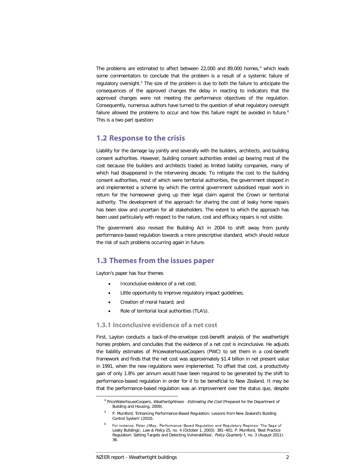The problems are estimated to affect between 22,000 and 89,000 homes, $4$  which leads some commentators to conclude that the problem is a result of a systemic failure of regulatory oversight.<sup>[5](#page-4-1)</sup> The size of the problem is due to both the failure to anticipate the consequences of the approved changes the delay in reacting to indicators that the approved changes were not meeting the performance objectives of the regulation. Consequently, numerous authors have turned to the question of what regulatory oversight failure allowed the problems to occur and how this failure might be avoided in future.<sup>[6](#page-4-2)</sup> This is a two part question:

#### **1.2 Response to the crisis**

Liability for the damage lay jointly and severally with the builders, architects, and building consent authorities. However, building consent authorities ended up bearing most of the cost because the builders and architects traded as limited liability companies, many of which had disappeared in the intervening decade. To mitigate the cost to the building consent authorities, most of which were territorial authorities, the government stepped in and implemented a scheme by which the central government subsidised repair work in return for the homeowner giving up their legal claim against the Crown or territorial authority. The development of the approach for sharing the cost of leaky home repairs has been slow and uncertain for all stakeholders. The extent to which the approach has been used particularly with respect to the nature, cost and efficacy repairs is not visible.

The government also revised the Building Act in 2004 to shift away from purely performance-based regulation towards a more prescriptive standard, which should reduce the risk of such problems occurring again in future.

### **1.3 Themes from the issues paper**

Layton's paper has four themes

- Inconclusive evidence of a net cost;
- Little opportunity to improve regulatory impact guidelines;
- Creation of moral hazard; and
- Role of territorial local authorities (TLA's).

#### **1.3.1 Inconclusive evidence of a net cost**

First, Layton conducts a back-of-the-envelope cost-benefit analysis of the weathertight homes problem, and concludes that the evidence of a net cost is inconclusive. He adjusts the liability estimates of PricewaterhouseCoopers (PWC) to set them in a cost-benefit framework and finds that the net cost was approximately \$1.4 billion in net present value in 1991, when the new regulations were implemented. To offset that cost, a productivity gain of only 1.8% per annum would have been required to be generated by the shift to performance-based regulation in order for it to be beneficial to New Zealand. It may be that the performance-based regulation was an improvement over the status quo, despite

<span id="page-4-1"></span><span id="page-4-0"></span><sup>&</sup>lt;sup>4</sup> PriceWaterhouseCoopers, Weathertightness - Estimating the Cost (Prepared for the Department of Building and Housing, 2009).

<span id="page-4-2"></span><sup>5</sup> P. Mumford, 'Enhancing Performance-Based Regulation: Lessons from New Zealand's Building Control System' (2010).

For instance, Peter J May, Performance-Based Regulation and Regulatory Regimes: The Saga of Leaky Buildings', Law & Policy 25, no. 4 (October 1, 2003): 381–401; P. Mumford, 'Best Practice Regulation: Setting Targets and Detecting Vulnerabilities', Policy Quarterly 7, no. 3 (August 2011): 36.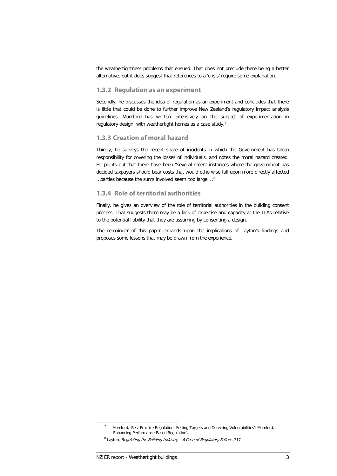the weathertightness problems that ensued. That does not preclude there being a better alternative, but it does suggest that references to a 'crisis' require some explanation.

#### **1.3.2 Regulation as an experiment**

Secondly, he discusses the idea of regulation as an experiment and concludes that there is little that could be done to further improve New Zealand's regulatory impact analysis guidelines. Mumford has written extensively on the subject of experimentation in regulatory design, with weathertight homes as a case study.<sup>[7](#page-5-0)</sup>

#### **1.3.3 Creation of moral hazard**

Thirdly, he surveys the recent spate of incidents in which the Government has taken responsibility for covering the losses of individuals, and notes the moral hazard created. He points out that there have been "several recent instances where the government has decided taxpayers should bear costs that would otherwise fall upon more directly affected …parties because the sums involved seem 'too large'…"[8](#page-5-1)

#### **1.3.4 Role of territorial authorities**

Finally, he gives an overview of the role of territorial authorities in the building consent process. That suggests there may be a lack of expertise and capacity at the TLAs relative to the potential liability that they are assuming by consenting a design.

The remainder of this paper expands upon the implications of Layton's findings and proposes some lessons that may be drawn from the experience.

<sup>&</sup>lt;sup>7</sup> Mumford, 'Best Practice Regulation: Setting Targets and Detecting Vulnerabilities'; Mumford, 'Enhancing Performance-Based Regulation'.

<span id="page-5-1"></span><span id="page-5-0"></span> $8$  Layton, Regulating the Building Industry - A Case of Regulatory Failure, 317.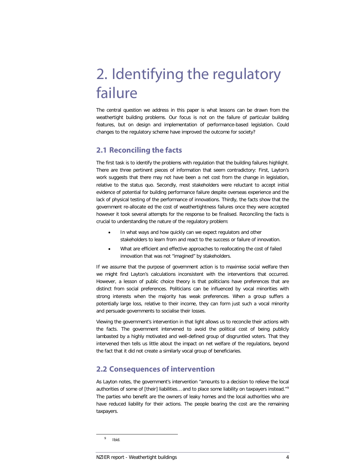## 2. Identifying the regulatory failure

The central question we address in this paper is what lessons can be drawn from the weathertight building problems. Our focus is not on the failure of particular building features, but on design and implementation of performance-based legislation. Could changes to the regulatory scheme have improved the outcome for society?

## **2.1 Reconciling the facts**

The first task is to identify the problems with regulation that the building failures highlight. There are three pertinent pieces of information that seem contradictory: First, Layton's work suggests that there may not have been a net cost from the change in legislation, relative to the status quo. Secondly, most stakeholders were reluctant to accept initial evidence of potential for building performance failure despite overseas experience and the lack of physical testing of the performance of innovations. Thirdly, the facts show that the government re-allocate ed the cost of weathertightness failures once they were accepted however it took several attempts for the response to be finalised. Reconciling the facts is crucial to understanding the nature of the regulatory problem:

- In what ways and how quickly can we expect regulators and other stakeholders to learn from and react to the success or failure of innovation.
- What are efficient and effective approaches to reallocating the cost of failed innovation that was not "imagined" by stakeholders.

If we assume that the purpose of government action is to maximise social welfare then we might find Layton's calculations inconsistent with the interventions that occurred. However, a lesson of public choice theory is that politicians have preferences that are distinct from social preferences. Politicians can be influenced by vocal minorities with strong interests when the majority has weak preferences. When a group suffers a potentially large loss, relative to their income, they can form just such a vocal minority and persuade governments to socialise their losses.

Viewing the government's intervention in that light allows us to reconcile their actions with the facts. The government intervened to avoid the political cost of being publicly lambasted by a highly motivated and well-defined group of disgruntled voters. That they intervened then tells us little about the impact on net welfare of the regulations, beyond the fact that it did not create a similarly vocal group of beneficiaries.

## **2.2 Consequences of intervention**

As Layton notes, the government's intervention "amounts to a decision to relieve the local authorities of some of [their] liabilities... and to place some liability on taxpayers instead."<sup>[9](#page-6-0)</sup> The parties who benefit are the owners of leaky homes and the local authorities who are have reduced liability for their actions. The people bearing the cost are the remaining taxpayers.

<span id="page-6-0"></span> <sup>9</sup> Ibid.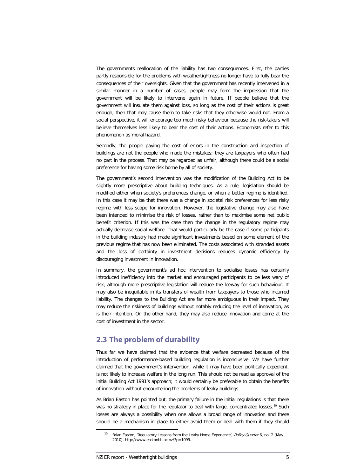The governments reallocation of the liability has two consequences. First, the parties partly responsible for the problems with weathertightness no longer have to fully bear the consequences of their oversights. Given that the government has recently intervened in a similar manner in a number of cases, people may form the impression that the government will be likely to intervene again in future. If people believe that the government will insulate them against loss, so long as the cost of their actions is great enough, then that may cause them to take risks that they otherwise would not. From a social perspective, it will encourage too much risky behaviour because the risk-takers will believe themselves less likely to bear the cost of their actions. Economists refer to this phenomenon as moral hazard.

Secondly, the people paying the cost of errors in the construction and inspection of buildings are not the people who made the mistakes; they are taxpayers who often had no part in the process. That may be regarded as unfair, although there could be a social preference for having some risk borne by all of society.

The government's second intervention was the modification of the Building Act to be slightly more prescriptive about building techniques. As a rule, legislation should be modified either when society's preferences change, or when a better regime is identified. In this case it may be that there was a change in societal risk preferences for less risky regime with less scope for innovation. However, the legislative change may also have been intended to minimise the risk of losses, rather than to maximise some net public benefit criterion. If this was the case then the change in the regulatory regime may actually decrease social welfare. That would particularly be the case if some participants in the building industry had made significant investments based on some element of the previous regime that has now been eliminated. The costs associated with stranded assets and the loss of certainty in investment decisions reduces dynamic efficiency by discouraging investment in innovation.

In summary, the government's ad hoc intervention to socialise losses has certainly introduced inefficiency into the market and encouraged participants to be less wary of risk, although more prescriptive legislation will reduce the leeway for such behaviour. It may also be inequitable in its transfers of wealth from taxpayers to those who incurred liability. The changes to the Building Act are far more ambiguous in their impact. They may reduce the riskiness of buildings without notably reducing the level of innovation, as is their intention. On the other hand, they may also reduce innovation and come at the cost of investment in the sector.

## **2.3 The problem of durability**

Thus far we have claimed that the evidence that welfare decreased because of the introduction of performance-based building regulation is inconclusive. We have further claimed that the government's intervention, while it may have been politically expedient, is not likely to increase welfare in the long run. This should not be read as approval of the initial Building Act 1991's approach; it would certainly be preferable to obtain the benefits of innovation without encountering the problems of leaky buildings.

<span id="page-7-0"></span>As Brian Easton has pointed out, the primary failure in the initial regulations is that there was no strategy in place for the regulator to deal with large, concentrated losses.<sup>[10](#page-7-0)</sup> Such losses are always a possibility when one allows a broad range of innovation and there should be a mechanism in place to either avoid them or deal with them if they should

<sup>&</sup>lt;sup>10</sup> Brian Easton, 'Regulatory Lessons from the Leaky Home Experience', *Policy Quarter* 6, no. 2 (May 2010), http://www.eastonbh.ac.nz/?p=1099.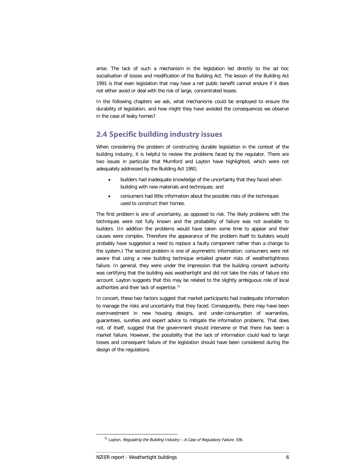arise. The lack of such a mechanism in the legislation led directly to the ad hoc socialisation of losses and modification of the Building Act. The lesson of the Building Act 1991 is that even legislation that may have a net public benefit cannot endure if it does not either avoid or deal with the risk of large, concentrated losses.

In the following chapters we ask, what mechanisms could be employed to ensure the durability of legislation, and how might they have avoided the consequences we observe in the case of leaky homes?

## **2.4 Specific building industry issues**

When considering the problem of constructing durable legislation in the context of the building industry, it is helpful to review the problems faced by the regulator. There are two issues in particular that Mumford and Layton have highlighted, which were not adequately addressed by the Building Act 1991:

- builders had inadequate knowledge of the uncertainty that they faced when building with new materials and techniques; and
- consumers had little information about the possible risks of the techniques used to construct their homes.

The first problem is one of uncertainty, as opposed to risk. The likely problems with the techniques were not fully known and the probability of failure was not available to builders. (In addition the problems would have taken some time to appear and their causes were complex. Therefore the appearance of the problem itself to builders would probably have suggested a need to replace a faulty component rather than a change to the system.) The second problem is one of asymmetric information: consumers were not aware that using a new building technique entailed greater risks of weathertightness failure. In general, they were under the impression that the building consent authority was certifying that the building was weathertight and did not take the risks of failure into account. Layton suggests that this may be related to the slightly ambiguous role of local authorities and their lack of expertise.<sup>[11](#page-8-0)</sup>

In concert, these two factors suggest that market participants had inadequate information to manage the risks and uncertainty that they faced. Consequently, there may have been overinvestment in new housing designs, and under-consumption of warranties, guarantees, sureties and expert advice to mitigate the information problems. That does not, of itself, suggest that the government should intervene or that there has been a market failure. However, the possibility that the lack of information could lead to large losses and consequent failure of the legislation should have been considered during the design of the regulations.

<span id="page-8-0"></span> $11$  Layton, Regulating the Building Industry - A Case of Regulatory Failure, 336.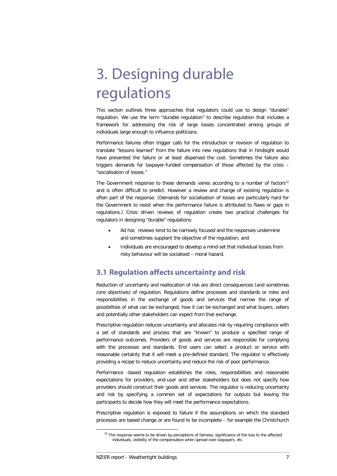## 3. Designing durable regulations

This section outlines three approaches that regulators could use to design "durable" regulation. We use the term "durable regulation" to describe regulation that includes a framework for addressing the risk of large losses concentrated among groups of individuals large enough to influence politicians.

Performance failures often trigger calls for the introduction or revision of regulation to translate "lessons learned" from the failure into new regulations that in hindsight would have prevented the failure or at least dispersed the cost. Sometimes the failure also triggers demands for taxpayer-funded compensation of those affected by the crisis – "socialisation of losses."

The Government response to these demands varies according to a number of factors $12$ and is often difficult to predict. However a review and change of existing regulation is often part of the response. (Demands for socialisation of losses are particularly hard for the Government to resist when the performance failure is attributed to flaws or gaps in regulations.) Crisis driven reviews of regulation create two practical challenges for regulators in designing "durable" regulations:

- Ad hoc reviews tend to be narrowly focused and the responses undermine and sometimes supplant the objective of the regulation; and
- Individuals are encouraged to develop a mind-set that individual losses from risky behaviour will be socialised – moral hazard.

## **3.1 Regulation affects uncertainty and risk**

Reduction of uncertainty and reallocation of risk are direct consequences (and sometimes core objectives) of regulation. Regulations define processes and standards or roles and responsibilities in the exchange of goods and services that narrow the range of possibilities of what can be exchanged, how it can be exchanged and what buyers, sellers and potentially other stakeholders can expect from that exchange.

Prescriptive regulation reduces uncertainty and allocates risk by requiring compliance with a set of standards and process that are "known" to produce a specified range of performance outcomes. Providers of goods and services are responsible for complying with the processes and standards. End users can select a product or service with reasonable certainty that it will meet a pre-defined standard. The regulator is effectively providing a recipe to reduce uncertainty and reduce the risk of poor performance.

Performance -based regulation establishes the roles, responsibilities and reasonable expectations for providers, end-user and other stakeholders but does not specify how providers should construct their goods and services. The regulator is reducing uncertainty and risk by specifying a common set of expectations for outputs but leaving the participants to decide how they will meet the performance expectations.

<span id="page-9-0"></span>Prescriptive regulation is exposed to failure if the assumptions on which the standard processes are based change or are found to be incomplete – for example the Christchurch

<sup>&</sup>lt;sup>12</sup> The response seems to be driven by perceptions of fairness, significance of the loss to the affected individuals, visibility of the compensation when spread over taxpayers, etc.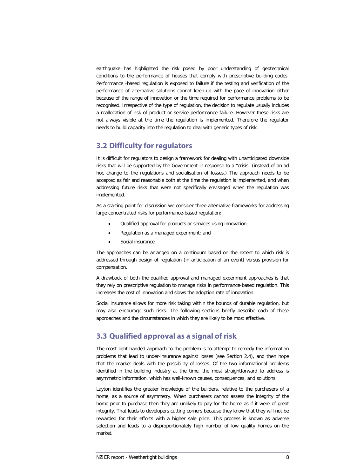earthquake has highlighted the risk posed by poor understanding of geotechnical conditions to the performance of houses that comply with prescriptive building codes. Performance -based regulation is exposed to failure if the testing and verification of the performance of alternative solutions cannot keep-up with the pace of innovation either because of the range of innovation or the time required for performance problems to be recognised. Irrespective of the type of regulation, the decision to regulate usually includes a reallocation of risk of product or service performance failure. However these risks are not always visible at the time the regulation is implemented. Therefore the regulator needs to build capacity into the regulation to deal with generic types of risk.

### **3.2 Difficulty for regulators**

It is difficult for regulators to design a framework for dealing with unanticipated downside risks that will be supported by the Government in response to a "crisis" (instead of an ad hoc change to the regulations and socialisation of losses.) The approach needs to be accepted as fair and reasonable both at the time the regulation is implemented, and when addressing future risks that were not specifically envisaged when the regulation was implemented.

As a starting point for discussion we consider three alternative frameworks for addressing large concentrated risks for performance-based regulation:

- Qualified approval for products or services using innovation;
- Regulation as a managed experiment; and
- Social insurance.

The approaches can be arranged on a continuum based on the extent to which risk is addressed through design of regulation (in anticipation of an event) versus provision for compensation.

A drawback of both the qualified approval and managed experiment approaches is that they rely on prescriptive regulation to manage risks in performance-based regulation. This increases the cost of innovation and slows the adoption rate of innovation.

Social insurance allows for more risk taking within the bounds of durable regulation, but may also encourage such risks. The following sections briefly describe each of these approaches and the circumstances in which they are likely to be most effective.

## **3.3 Qualified approval as a signal of risk**

The most light-handed approach to the problem is to attempt to remedy the information problems that lead to under-insurance against losses (see Section 2.4), and then hope that the market deals with the possibility of losses. Of the two informational problems identified in the building industry at the time, the most straightforward to address is asymmetric information, which has well-known causes, consequences, and solutions.

Layton identifies the greater knowledge of the builders, relative to the purchasers of a home, as a source of asymmetry. When purchasers cannot assess the integrity of the home prior to purchase then they are unlikely to pay for the home as if it were of great integrity. That leads to developers cutting corners because they know that they will not be rewarded for their efforts with a higher sale price. This process is known as adverse selection and leads to a disproportionately high number of low quality homes on the market.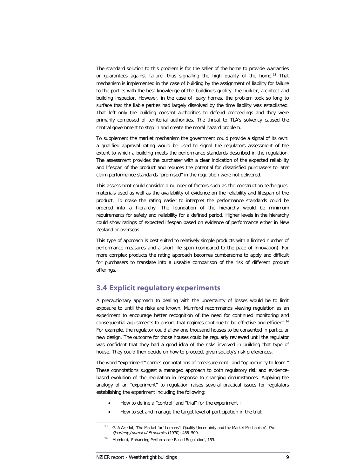The standard solution to this problem is for the seller of the home to provide warranties or guarantees against failure, thus signalling the high quality of the home.<sup>[13](#page-11-0)</sup> That mechanism is implemented in the case of building by the assignment of liability for failure to the parties with the best knowledge of the building's quality: the builder, architect and building inspector. However, in the case of leaky homes, the problem took so long to surface that the liable parties had largely dissolved by the time liability was established. That left only the building consent authorities to defend proceedings and they were primarily composed of territorial authorities. The threat to TLA's solvency caused the central government to step in and create the moral hazard problem.

To supplement the market mechanism the government could provide a signal of its own: a qualified approval rating would be used to signal the regulators assessment of the extent to which a building meets the performance standards described in the regulation. The assessment provides the purchaser with a clear indication of the expected reliability and lifespan of the product and reduces the potential for dissatisfied purchasers to later claim performance standards "promised" in the regulation were not delivered.

This assessment could consider a number of factors such as the construction techniques, materials used as well as the availability of evidence on the reliability and lifespan of the product. To make the rating easier to interpret the performance standards could be ordered into a hierarchy. The foundation of the hierarchy would be minimum requirements for safety and reliability for a defined period. Higher levels in the hierarchy could show ratings of expected lifespan based on evidence of performance either in New Zealand or overseas.

This type of approach is best suited to relatively simple products with a limited number of performance measures and a short life span (compared to the pace of innovation). For more complex products the rating approach becomes cumbersome to apply and difficult for purchasers to translate into a useable comparison of the risk of different product offerings.

### **3.4 Explicit regulatory experiments**

A precautionary approach to dealing with the uncertainty of losses would be to limit exposure to until the risks are known. Mumford recommends viewing regulation as an experiment to encourage better recognition of the need for continued monitoring and consequential adjustments to ensure that regimes continue to be effective and efficient.<sup>[14](#page-11-1)</sup> For example, the regulator could allow one thousand houses to be consented in particular new design. The outcome for those houses could be regularly reviewed until the regulator was confident that they had a good idea of the risks involved in building that type of house. They could then decide on how to proceed, given society's risk preferences.

The word "experiment" carries connotations of "measurement" and "opportunity to learn." These connotations suggest a managed approach to both regulatory risk and evidencebased evolution of the regulation in response to changing circumstances. Applying the analogy of an "experiment" to regulation raises several practical issues for regulators establishing the experiment including the following:

- How to define a "control" and "trial" for the experiment ;
- How to set and manage the target level of participation in the trial;

<span id="page-11-0"></span><sup>&</sup>lt;sup>13</sup> G. A Akerlof, 'The Market for" Lemons": Quality Uncertainty and the Market Mechanism', The Quarterly Journal of Economics (1970): 488–500.

<span id="page-11-1"></span><sup>14</sup> Mumford, 'Enhancing Performance-Based Regulation', 153.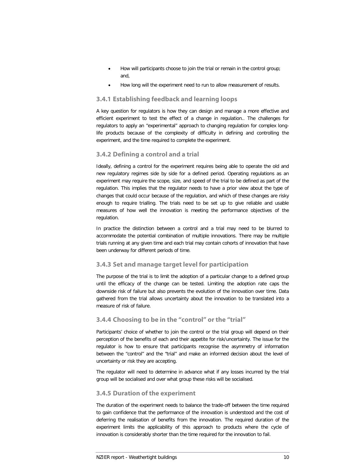- How will participants choose to join the trial or remain in the control group; and,
- How long will the experiment need to run to allow measurement of results.

#### **3.4.1 Establishing feedback and learning loops**

A key question for regulators is how they can design and manage a more effective and efficient experiment to test the effect of a change in regulation.. The challenges for regulators to apply an "experimental" approach to changing regulation for complex longlife products because of the complexity of difficulty in defining and controlling the experiment, and the time required to complete the experiment.

#### **3.4.2 Defining a control and a trial**

Ideally, defining a control for the experiment requires being able to operate the old and new regulatory regimes side by side for a defined period. Operating regulations as an experiment may require the scope, size, and speed of the trial to be defined as part of the regulation. This implies that the regulator needs to have a prior view about the type of changes that could occur because of the regulation, and which of these changes are risky enough to require trialling. The trials need to be set up to give reliable and usable measures of how well the innovation is meeting the performance objectives of the regulation.

In practice the distinction between a control and a trial may need to be blurred to accommodate the potential combination of multiple innovations. There may be multiple trials running at any given time and each trial may contain cohorts of innovation that have been underway for different periods of time.

#### **3.4.3 Set and manage target level for participation**

The purpose of the trial is to limit the adoption of a particular change to a defined group until the efficacy of the change can be tested. Limiting the adoption rate caps the downside risk of failure but also prevents the evolution of the innovation over time. Data gathered from the trial allows uncertainty about the innovation to be translated into a measure of risk of failure.

#### **3.4.4 Choosing to be in the "control" or the "trial"**

Participants' choice of whether to join the control or the trial group will depend on their perception of the benefits of each and their appetite for risk/uncertainty. The issue for the regulator is how to ensure that participants recognise the asymmetry of information between the "control" and the "trial" and make an informed decision about the level of uncertainty or risk they are accepting.

The regulator will need to determine in advance what if any losses incurred by the trial group will be socialised and over what group these risks will be socialised.

#### **3.4.5 Duration of the experiment**

The duration of the experiment needs to balance the trade-off between the time required to gain confidence that the performance of the innovation is understood and the cost of deferring the realisation of benefits from the innovation. The required duration of the experiment limits the applicability of this approach to products where the cycle of innovation is considerably shorter than the time required for the innovation to fail.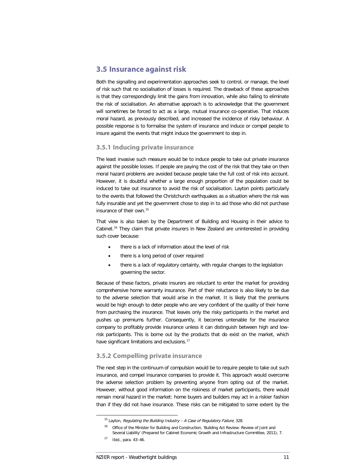### **3.5 Insurance against risk**

Both the signalling and experimentation approaches seek to control, or manage, the level of risk such that no socialisation of losses is required. The drawback of these approaches is that they correspondingly limit the gains from innovation, while also failing to eliminate the risk of socialisation. An alternative approach is to acknowledge that the government will sometimes be forced to act as a large, mutual insurance co-operative. That induces moral hazard, as previously described, and increased the incidence of risky behaviour. A possible response is to formalise the system of insurance and induce or compel people to insure against the events that might induce the government to step in.

#### **3.5.1 Inducing private insurance**

The least invasive such measure would be to induce people to take out private insurance against the possible losses. If people are paying the cost of the risk that they take on then moral hazard problems are avoided because people take the full cost of risk into account. However, it is doubtful whether a large enough proportion of the population could be induced to take out insurance to avoid the risk of socialisation. Layton points particularly to the events that followed the Christchurch earthquakes as a situation where the risk was fully insurable and yet the government chose to step in to aid those who did not purchase insurance of their own.[15](#page-13-0)

That view is also taken by the Department of Building and Housing in their advice to Cabinet.<sup>16</sup> They claim that private insurers in New Zealand are uninterested in providing such cover because:

- there is a lack of information about the level of risk
- there is a long period of cover required
- there is a lack of regulatory certainty, with regular changes to the legislation governing the sector.

Because of these factors, private insurers are reluctant to enter the market for providing comprehensive home warranty insurance. Part of their reluctance is also likely to be due to the adverse selection that would arise in the market. It is likely that the premiums would be high enough to deter people who are very confident of the quality of their home from purchasing the insurance. That leaves only the risky participants in the market and pushes up premiums further. Consequently, it becomes untenable for the insurance company to profitably provide insurance unless it can distinguish between high and lowrisk participants. This is borne out by the products that do exist on the market, which have significant limitations and exclusions.<sup>[17](#page-13-2)</sup>

#### **3.5.2 Compelling private insurance**

The next step in the continuum of compulsion would be to require people to take out such insurance, and compel insurance companies to provide it. This approach would overcome the adverse selection problem by preventing anyone from opting out of the market. However, without good information on the riskiness of market participants, there would remain moral hazard in the market: home buyers and builders may act in a riskier fashion than if they did not have insurance. These risks can be mitigated to some extent by the

<span id="page-13-1"></span><span id="page-13-0"></span> $15$  Layton, Regulating the Building Industry - A Case of Regulatory Failure, 328.

<sup>&</sup>lt;sup>16</sup> Office of the Minister for Building and Construction, 'Building Act Review: Review of Joint and Several Liability' (Prepared for Cabinet Economic Growth and Infrastructure Committee, 2011), 7.

<span id="page-13-2"></span><sup>17</sup> Ibid., para. 43–46.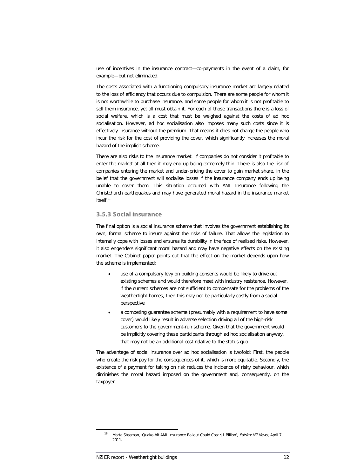use of incentives in the insurance contract—co-payments in the event of a claim, for example—but not eliminated.

The costs associated with a functioning compulsory insurance market are largely related to the loss of efficiency that occurs due to compulsion. There are some people for whom it is not worthwhile to purchase insurance, and some people for whom it is not profitable to sell them insurance, yet all must obtain it. For each of those transactions there is a loss of social welfare, which is a cost that must be weighed against the costs of ad hoc socialisation. However, ad hoc socialisation also imposes many such costs since it is effectively insurance without the premium. That means it does not charge the people who incur the risk for the cost of providing the cover, which significantly increases the moral hazard of the implicit scheme.

There are also risks to the insurance market. If companies do not consider it profitable to enter the market at all then it may end up being extremely thin. There is also the risk of companies entering the market and under-pricing the cover to gain market share, in the belief that the government will socialise losses if the insurance company ends up being unable to cover them. This situation occurred with AMI Insurance following the Christchurch earthquakes and may have generated moral hazard in the insurance market itself.<sup>[18](#page-14-0)</sup>

#### **3.5.3 Social insurance**

The final option is a social insurance scheme that involves the government establishing its own, formal scheme to insure against the risks of failure. That allows the legislation to internally cope with losses and ensures its durability in the face of realised risks. However, it also engenders significant moral hazard and may have negative effects on the existing market. The Cabinet paper points out that the effect on the market depends upon how the scheme is implemented:

- use of a compulsory levy on building consents would be likely to drive out existing schemes and would therefore meet with industry resistance. However, if the current schemes are not sufficient to compensate for the problems of the weathertight homes, then this may not be particularly costly from a social perspective
- a competing guarantee scheme (presumably with a requirement to have some cover) would likely result in adverse selection driving all of the high-risk customers to the government-run scheme. Given that the government would be implicitly covering these participants through ad hoc socialisation anyway, that may not be an additional cost relative to the status quo.

The advantage of social insurance over ad hoc socialisation is twofold: First, the people who create the risk pay for the consequences of it, which is more equitable. Secondly, the existence of a payment for taking on risk reduces the incidence of risky behaviour, which diminishes the moral hazard imposed on the government and, consequently, on the taxpayer.

<span id="page-14-0"></span><sup>&</sup>lt;sup>18</sup> Marta Steeman, 'Quake-hit AMI Insurance Bailout Could Cost \$1 Billion', Fairfax NZ News, April 7, 2011.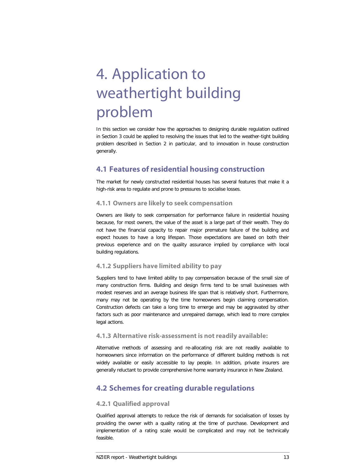# 4. Application to weathertight building problem

In this section we consider how the approaches to designing durable regulation outlined in Section 3 could be applied to resolving the issues that led to the weather-tight building problem described in Section 2 in particular, and to innovation in house construction generally.

## **4.1 Features of residential housing construction**

The market for newly constructed residential houses has several features that make it a high-risk area to regulate and prone to pressures to socialise losses.

#### **4.1.1 Owners are likely to seek compensation**

Owners are likely to seek compensation for performance failure in residential housing because, for most owners, the value of the asset is a large part of their wealth. They do not have the financial capacity to repair major premature failure of the building and expect houses to have a long lifespan. Those expectations are based on both their previous experience and on the quality assurance implied by compliance with local building regulations.

#### **4.1.2 Suppliers have limited ability to pay**

Suppliers tend to have limited ability to pay compensation because of the small size of many construction firms. Building and design firms tend to be small businesses with modest reserves and an average business life span that is relatively short. Furthermore, many may not be operating by the time homeowners begin claiming compensation. Construction defects can take a long time to emerge and may be aggravated by other factors such as poor maintenance and unrepaired damage, which lead to more complex legal actions.

#### **4.1.3 Alternative risk-assessment is not readily available:**

Alternative methods of assessing and re-allocating risk are not readily available to homeowners since information on the performance of different building methods is not widely available or easily accessible to lay people. In addition, private insurers are generally reluctant to provide comprehensive home warranty insurance in New Zealand.

### **4.2 Schemes for creating durable regulations**

#### **4.2.1 Qualified approval**

Qualified approval attempts to reduce the risk of demands for socialisation of losses by providing the owner with a quality rating at the time of purchase. Development and implementation of a rating scale would be complicated and may not be technically feasible.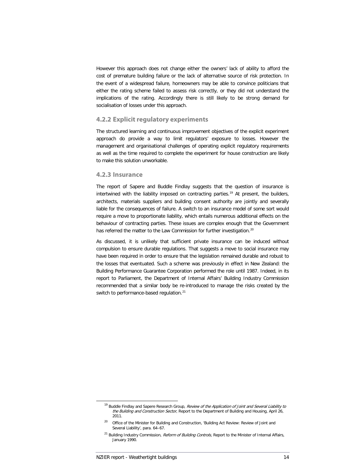However this approach does not change either the owners' lack of ability to afford the cost of premature building failure or the lack of alternative source of risk protection. In the event of a widespread failure, homeowners may be able to convince politicians that either the rating scheme failed to assess risk correctly, or they did not understand the implications of the rating. Accordingly there is still likely to be strong demand for socialisation of losses under this approach.

#### **4.2.2 Explicit regulatory experiments**

The structured learning and continuous improvement objectives of the explicit experiment approach do provide a way to limit regulators' exposure to losses. However the management and organisational challenges of operating explicit regulatory requirements as well as the time required to complete the experiment for house construction are likely to make this solution unworkable.

#### **4.2.3 Insurance**

The report of Sapere and Buddle Findlay suggests that the question of insurance is intertwined with the liability imposed on contracting parties.<sup>[19](#page-16-0)</sup> At present, the builders, architects, materials suppliers and building consent authority are jointly and severally liable for the consequences of failure. A switch to an insurance model of some sort would require a move to proportionate liability, which entails numerous additional effects on the behaviour of contracting parties. These issues are complex enough that the Government has referred the matter to the Law Commission for further investigation.<sup>[20](#page-16-1)</sup>

As discussed, it is unlikely that sufficient private insurance can be induced without compulsion to ensure durable regulations. That suggests a move to social insurance may have been required in order to ensure that the legislation remained durable and robust to the losses that eventuated. Such a scheme was previously in effect in New Zealand: the Building Performance Guarantee Corporation performed the role until 1987. Indeed, in its report to Parliament, the Department of Internal Affairs' Building Industry Commission recommended that a similar body be re-introduced to manage the risks created by the switch to performance-based regulation.<sup>[21](#page-16-2)</sup>

<span id="page-16-0"></span><sup>&</sup>lt;sup>19</sup> Buddle Findlay and Sapere Research Group, Review of the Application of Joint and Several Liability to the Building and Construction Sector, Report to the Department of Building and Housing, April 26, 2011.

<span id="page-16-1"></span><sup>&</sup>lt;sup>20</sup> Office of the Minister for Building and Construction, 'Building Act Review: Review of Joint and Several Liability', para. 64–67.

<span id="page-16-2"></span><sup>&</sup>lt;sup>21</sup> Building Industry Commission, *Reform of Building Controls*, Report to the Minister of Internal Affairs, January 1990.